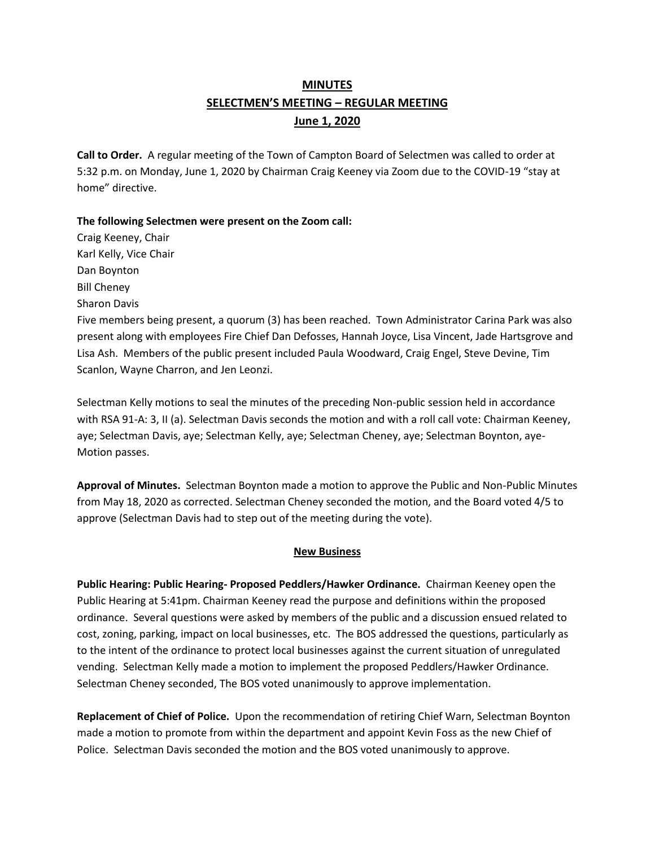# **MINUTES SELECTMEN'S MEETING – REGULAR MEETING June 1, 2020**

**Call to Order.** A regular meeting of the Town of Campton Board of Selectmen was called to order at 5:32 p.m. on Monday, June 1, 2020 by Chairman Craig Keeney via Zoom due to the COVID-19 "stay at home" directive.

**The following Selectmen were present on the Zoom call:** 

Craig Keeney, Chair Karl Kelly, Vice Chair Dan Boynton Bill Cheney Sharon Davis Five members being present, a quorum (3) has been reached.Town Administrator Carina Park was also present along with employees Fire Chief Dan Defosses, Hannah Joyce, Lisa Vincent, Jade Hartsgrove and Lisa Ash. Members of the public present included Paula Woodward, Craig Engel, Steve Devine, Tim Scanlon, Wayne Charron, and Jen Leonzi.

Selectman Kelly motions to seal the minutes of the preceding Non-public session held in accordance with RSA 91-A: 3, II (a). Selectman Davis seconds the motion and with a roll call vote: Chairman Keeney, aye; Selectman Davis, aye; Selectman Kelly, aye; Selectman Cheney, aye; Selectman Boynton, aye-Motion passes.

**Approval of Minutes.** Selectman Boynton made a motion to approve the Public and Non-Public Minutes from May 18, 2020 as corrected. Selectman Cheney seconded the motion, and the Board voted 4/5 to approve (Selectman Davis had to step out of the meeting during the vote).

### **New Business**

**Public Hearing: Public Hearing- Proposed Peddlers/Hawker Ordinance.** Chairman Keeney open the Public Hearing at 5:41pm. Chairman Keeney read the purpose and definitions within the proposed ordinance. Several questions were asked by members of the public and a discussion ensued related to cost, zoning, parking, impact on local businesses, etc. The BOS addressed the questions, particularly as to the intent of the ordinance to protect local businesses against the current situation of unregulated vending. Selectman Kelly made a motion to implement the proposed Peddlers/Hawker Ordinance. Selectman Cheney seconded, The BOS voted unanimously to approve implementation.

**Replacement of Chief of Police.** Upon the recommendation of retiring Chief Warn, Selectman Boynton made a motion to promote from within the department and appoint Kevin Foss as the new Chief of Police. Selectman Davis seconded the motion and the BOS voted unanimously to approve.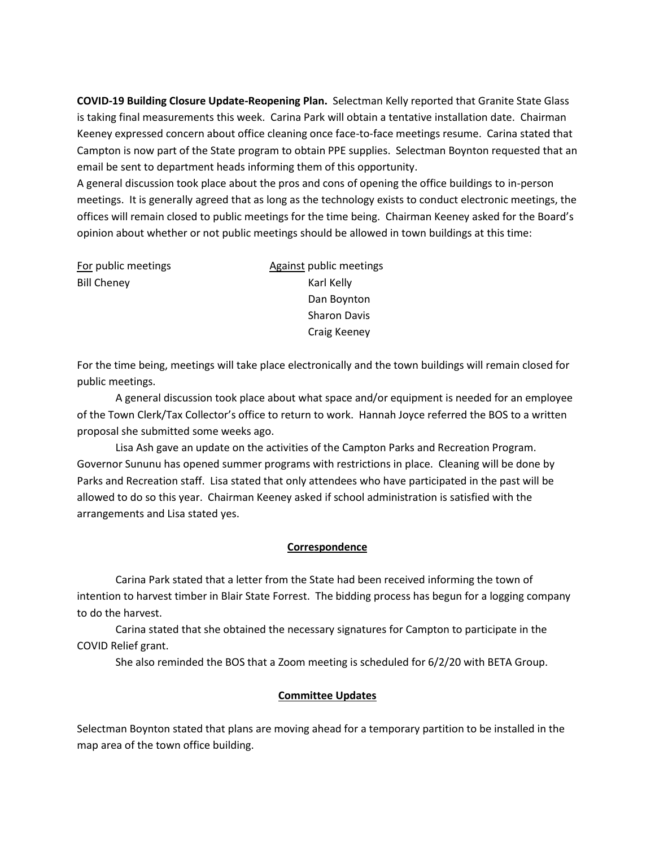**COVID-19 Building Closure Update-Reopening Plan.** Selectman Kelly reported that Granite State Glass is taking final measurements this week. Carina Park will obtain a tentative installation date. Chairman Keeney expressed concern about office cleaning once face-to-face meetings resume. Carina stated that Campton is now part of the State program to obtain PPE supplies. Selectman Boynton requested that an email be sent to department heads informing them of this opportunity.

A general discussion took place about the pros and cons of opening the office buildings to in-person meetings. It is generally agreed that as long as the technology exists to conduct electronic meetings, the offices will remain closed to public meetings for the time being. Chairman Keeney asked for the Board's opinion about whether or not public meetings should be allowed in town buildings at this time:

Bill Cheney **Karl Kelly** 

For public meetings The Section of Against public meetings Dan Boynton Sharon Davis Craig Keeney

For the time being, meetings will take place electronically and the town buildings will remain closed for public meetings.

A general discussion took place about what space and/or equipment is needed for an employee of the Town Clerk/Tax Collector's office to return to work. Hannah Joyce referred the BOS to a written proposal she submitted some weeks ago.

Lisa Ash gave an update on the activities of the Campton Parks and Recreation Program. Governor Sununu has opened summer programs with restrictions in place. Cleaning will be done by Parks and Recreation staff. Lisa stated that only attendees who have participated in the past will be allowed to do so this year. Chairman Keeney asked if school administration is satisfied with the arrangements and Lisa stated yes.

#### **Correspondence**

Carina Park stated that a letter from the State had been received informing the town of intention to harvest timber in Blair State Forrest. The bidding process has begun for a logging company to do the harvest.

Carina stated that she obtained the necessary signatures for Campton to participate in the COVID Relief grant.

She also reminded the BOS that a Zoom meeting is scheduled for 6/2/20 with BETA Group.

### **Committee Updates**

Selectman Boynton stated that plans are moving ahead for a temporary partition to be installed in the map area of the town office building.